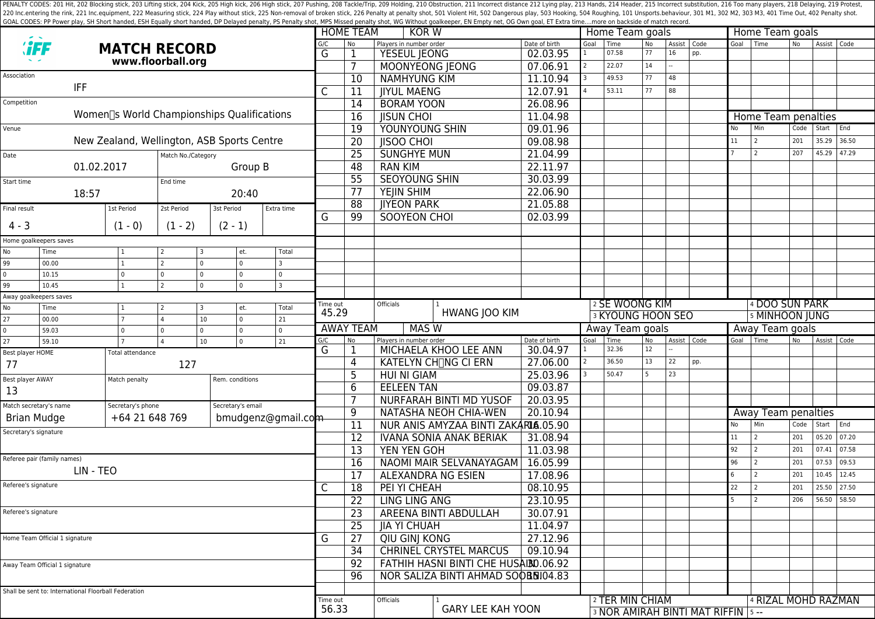PENALTY CODES: 201 Hit, 202 Blocking stick, 203 Lifting stick, 203 Kick, 205 High kick, 205 High kick, 205 High stick, 206 High stick, 207 Pushing, 208 Tackle/Trip, 209 Holding, 210 Obstruction, 211 Incorrect distance 212 220 Inc.entering the rink, 221 Inc.equipment, 222 Measuring stick, 224 Play without stick, 225 Non-removal of broken stick, 225 Poralty shot, 501 Violent Hit, 502 Dangerous play, 503 Hooking, 504 Roughing, 101 Unsports.beh GOAL CODES: PP Power play, SH Short handed, ESH Equally short handed, DP Delayed penalty, PS Penalty shot, MPS Missed penalty shot, WG Without goalkeeper, EN Empty net, OG Own goal, ET Extra time....more on backside of mat

|                                                                  |                                                      |                                            |                             |                       |                         |                            |                                               | <b>HOME TEAM</b><br>KOR W                        |                           |                 |                                   |                          | Home Team goals     |                | Home Team goals |                     |                |               |       |  |
|------------------------------------------------------------------|------------------------------------------------------|--------------------------------------------|-----------------------------|-----------------------|-------------------------|----------------------------|-----------------------------------------------|--------------------------------------------------|---------------------------|-----------------|-----------------------------------|--------------------------|---------------------|----------------|-----------------|---------------------|----------------|---------------|-------|--|
|                                                                  |                                                      | <b>MATCH RECORD</b>                        |                             |                       |                         | G/C                        | N <sub>o</sub>                                | Players in number order                          | Date of birth             | Goal            | Time<br>07.58                     | <b>No</b><br>77          | Assist   Code<br>16 | pp.            | Goal            | Time                | N <sub>o</sub> | Assist   Code |       |  |
| www.floorball.org                                                |                                                      |                                            |                             |                       | G                       | 1<br>7                     | <b>YESEUL JEONG</b><br><b>MOONYEONG JEONG</b> | 02.03.95<br>07.06.91                             |                           | 22.07           | 14                                |                          |                     |                |                 |                     |                |               |       |  |
| Association                                                      |                                                      |                                            |                             |                       |                         |                            |                                               | <b>NAMHYUNG KIM</b>                              |                           |                 | 49.53                             | 77                       | 48                  |                |                 |                     |                |               |       |  |
|                                                                  | <b>IFF</b>                                           |                                            |                             |                       |                         |                            | 10                                            |                                                  | 11.10.94<br>12.07.91      |                 | 53.11                             | 77                       | 88                  |                |                 |                     |                |               |       |  |
| Competition                                                      |                                                      |                                            |                             |                       |                         | C                          | 11                                            | <b>JIYUL MAENG</b>                               |                           |                 |                                   |                          |                     |                |                 |                     |                |               |       |  |
|                                                                  |                                                      | Women∏s World Championships Qualifications |                             |                       |                         |                            | 14                                            | <b>BORAM YOON</b>                                | 26.08.96                  |                 |                                   |                          |                     |                |                 |                     |                |               |       |  |
|                                                                  |                                                      |                                            |                             |                       |                         |                            | 16                                            | <b>JISUN CHOI</b>                                | 11.04.98                  |                 |                                   |                          |                     |                |                 | Home Team penalties |                |               |       |  |
| Venue                                                            |                                                      |                                            |                             |                       |                         |                            | 19                                            | YOUNYOUNG SHIN                                   | 09.01.96                  |                 |                                   |                          |                     |                | No              | Min                 | Code           | Start         | End   |  |
|                                                                  |                                                      | New Zealand, Wellington, ASB Sports Centre |                             |                       |                         |                            | $\overline{20}$                               | <b>IISOO CHOI</b>                                | 09.08.98                  |                 |                                   |                          |                     |                | 11              | 2                   | 201            | 35.29         | 36.50 |  |
| Date                                                             |                                                      |                                            | Match No./Category          |                       |                         |                            | $\overline{25}$                               | <b>SUNGHYE MUN</b>                               | 21.04.99                  |                 |                                   |                          |                     |                |                 | l 2                 | 207            | 45.29         | 47.29 |  |
|                                                                  | 01.02.2017                                           |                                            |                             | Group B               |                         |                            | 48                                            | <b>RAN KIM</b>                                   | 22.11.97                  |                 |                                   |                          |                     |                |                 |                     |                |               |       |  |
| Start time                                                       |                                                      |                                            | End time                    |                       |                         |                            | $\overline{55}$                               | <b>SEOYOUNG SHIN</b>                             | 30.03.99                  |                 |                                   |                          |                     |                |                 |                     |                |               |       |  |
|                                                                  | 18:57                                                |                                            |                             | 20:40                 |                         |                            | 77                                            | YEJIN SHIM                                       | 22.06.90                  |                 |                                   |                          |                     |                |                 |                     |                |               |       |  |
| Final result                                                     |                                                      | 1st Period                                 | 2st Period                  | 3st Period            | Extra time              |                            | 88                                            | <b>IIYEON PARK</b>                               | 21.05.88                  |                 |                                   |                          |                     |                |                 |                     |                |               |       |  |
| $4 - 3$                                                          |                                                      | $(1 - 0)$                                  | $(1 - 2)$                   | $(2 - 1)$             |                         | G                          | 99                                            | <b>SOOYEON CHOI</b>                              | 02.03.99                  |                 |                                   |                          |                     |                |                 |                     |                |               |       |  |
|                                                                  |                                                      |                                            |                             |                       |                         |                            |                                               |                                                  |                           |                 |                                   |                          |                     |                |                 |                     |                |               |       |  |
|                                                                  | Home goalkeepers saves                               |                                            |                             |                       |                         |                            |                                               |                                                  |                           |                 |                                   |                          |                     |                |                 |                     |                |               |       |  |
| No<br>99                                                         | Time<br>00.00                                        | 1<br>$\mathbf{1}$                          | $\overline{z}$<br>$\Omega$  | et.<br>$\overline{0}$ | Total                   |                            |                                               |                                                  |                           |                 |                                   |                          |                     |                |                 |                     |                |               |       |  |
| 0                                                                | 10.15                                                | $\mathbf 0$                                | 0<br>$\Omega$               | $\overline{0}$        | $\Omega$                |                            |                                               |                                                  |                           |                 |                                   |                          |                     |                |                 |                     |                |               |       |  |
| 99                                                               | 10.45                                                | $\mathbf{1}$                               | $\overline{z}$<br>$\Omega$  | $\overline{0}$        | $\overline{\mathbf{3}}$ |                            |                                               |                                                  |                           |                 |                                   |                          |                     |                |                 |                     |                |               |       |  |
|                                                                  | Away goalkeepers saves                               |                                            |                             |                       |                         |                            |                                               |                                                  |                           |                 |                                   |                          |                     |                |                 |                     |                |               |       |  |
| No                                                               | Total<br>Time<br>1<br>et.<br>2                       |                                            |                             | Time out<br>45.29     |                         | Officials<br>HWANG JOO KIM |                                               | 2 SE WOONG KIM                                   |                           |                 |                                   |                          |                     | 4 DOO SUN PARK |                 |                     |                |               |       |  |
| 27                                                               | 00.00                                                | $\overline{7}$                             | 10 <sup>°</sup>             | $\overline{0}$        | 21                      |                            |                                               |                                                  |                           |                 |                                   | <b>3 KYOUNG HOON SEO</b> |                     |                |                 |                     | 5 MINHOON JUNG |               |       |  |
| 0                                                                | 59.03                                                | 0                                          | l 0<br>$\Omega$             | $\overline{0}$        | $\Omega$                |                            | <b>AWAY TEAM</b><br><b>MAS W</b>              |                                                  |                           | Away Team goals |                                   |                          |                     |                | Away Team goals |                     |                |               |       |  |
| 27                                                               | 59.10                                                | $\overline{7}$                             | 10 <sup>°</sup><br>$\Delta$ | $\overline{0}$        | 21                      | G/C<br>G                   | No<br>1                                       | Players in number order<br>MICHAELA KHOO LEE ANN | Date of birth<br>30.04.97 | Goal            | Time<br>32.36                     | No<br>12                 |                     | Assist   Code  | Goal            | Time                | <b>No</b>      | Assist        | Code  |  |
| Best player HOME                                                 |                                                      | Total attendance                           |                             |                       |                         |                            | 4                                             | KATELYN CH <sub>I</sub> NG CI ERN                | 27.06.00                  |                 | 36.50                             | 13                       | 22                  | pp.            |                 |                     |                |               |       |  |
| 77                                                               |                                                      | 127                                        |                             |                       |                         |                            | 5                                             | HUI NI GIAM                                      | 25.03.96                  |                 | 50.47                             |                          | 23                  |                |                 |                     |                |               |       |  |
| Best player AWAY                                                 |                                                      | Match penalty                              |                             | Rem. conditions       |                         |                            | 6                                             | <b>EELEEN TAN</b>                                | 09.03.87                  |                 |                                   |                          |                     |                |                 |                     |                |               |       |  |
| 13                                                               |                                                      |                                            |                             |                       |                         |                            | $\overline{7}$                                | NURFARAH BINTI MD YUSOF                          | 20.03.95                  |                 |                                   |                          |                     |                |                 |                     |                |               |       |  |
| Match secretary's name<br>Secretary's phone<br>Secretary's email |                                                      |                                            |                             | 9                     | NATASHA NEOH CHIA-WEN   | 20.10.94                   |                                               |                                                  |                           |                 |                                   |                          | Away Team penalties |                |                 |                     |                |               |       |  |
| <b>Brian Mudge</b>                                               |                                                      | +64 21 648 769                             |                             | bmudgenz@gmail.com    |                         |                            | 11                                            | NUR ANIS AMYZAA BINTI ZAKARIA.05.90              |                           |                 |                                   |                          |                     |                | No              | Min                 | Code           | Start         | End   |  |
| Secretary's signature                                            |                                                      |                                            |                             |                       |                         | $\overline{12}$            | <b>IVANA SONIA ANAK BERIAK</b>                | 31.08.94                                         |                           |                 |                                   |                          |                     | 11             | 2               | 201                 | 05.20          | 07.20         |       |  |
|                                                                  |                                                      |                                            |                             |                       |                         |                            | 13                                            | <b>YEN YEN GOH</b>                               | 11.03.98                  |                 |                                   |                          |                     |                | 92              | l 2                 | 201            | 07.41         | 07.58 |  |
|                                                                  | Referee pair (family names)                          |                                            |                             |                       |                         |                            | 16                                            | NAOMI MAIR SELVANAYAGAM                          | 16.05.99                  |                 |                                   |                          |                     |                | 96              | l 2                 | 201            | 07.53         | 09.53 |  |
| LIN - TEO                                                        |                                                      |                                            |                             |                       |                         |                            | 17                                            | ALEXANDRA NG ESIEN                               | 17.08.96                  |                 |                                   |                          |                     |                | 6               | l 2                 | 201            | 10.45         | 12.45 |  |
| Referee's signature                                              |                                                      |                                            |                             |                       |                         | C                          | 18                                            | PEI YI CHEAH                                     | 08.10.95                  |                 |                                   |                          |                     |                | 22              | l 2                 | 201            | 25.50         | 27.50 |  |
|                                                                  |                                                      |                                            |                             |                       |                         |                            |                                               | <b>LING LING ANG</b>                             | 23.10.95                  |                 |                                   |                          |                     |                | 5               | l 2                 | 206            | 56.50 58.50   |       |  |
| Referee's signature                                              |                                                      |                                            |                             |                       |                         |                            | 22                                            |                                                  |                           |                 |                                   |                          |                     |                |                 |                     |                |               |       |  |
|                                                                  |                                                      |                                            |                             |                       |                         |                            | 23                                            | AREENA BINTI ABDULLAH                            | 30.07.91                  |                 |                                   |                          |                     |                |                 |                     |                |               |       |  |
|                                                                  |                                                      |                                            |                             |                       |                         | G                          | 25                                            | <b>JIA YI CHUAH</b>                              | 11.04.97                  |                 |                                   |                          |                     |                |                 |                     |                |               |       |  |
| Home Team Official 1 signature                                   |                                                      |                                            |                             |                       |                         |                            | 27                                            | QIU GINJ KONG                                    | 27.12.96                  |                 |                                   |                          |                     |                |                 |                     |                |               |       |  |
|                                                                  |                                                      |                                            |                             |                       |                         |                            | 34                                            | <b>CHRINEL CRYSTEL MARCUS</b>                    | 09.10.94                  |                 |                                   |                          |                     |                |                 |                     |                |               |       |  |
| Away Team Official 1 signature                                   |                                                      |                                            |                             |                       |                         | 92                         | FATHIH HASNI BINTI CHE HUSAIBD.06.92          |                                                  |                           |                 |                                   |                          |                     |                |                 |                     |                |               |       |  |
|                                                                  |                                                      |                                            |                             |                       |                         |                            | 96                                            | NOR SALIZA BINTI AHMAD SOOBS104.83               |                           |                 |                                   |                          |                     |                |                 |                     |                |               |       |  |
|                                                                  | Shall be sent to: International Floorball Federation |                                            |                             |                       |                         |                            |                                               |                                                  |                           |                 |                                   |                          |                     |                |                 |                     |                |               |       |  |
|                                                                  |                                                      |                                            |                             |                       |                         | Time out<br>56.33          |                                               | Officials<br><b>GARY LEE KAH YOON</b>            |                           |                 | 2 TER MIN CHIAM                   |                          |                     |                |                 | 4 RIZAL MOHD RAZMAN |                |               |       |  |
|                                                                  |                                                      |                                            |                             |                       |                         |                            |                                               |                                                  |                           |                 | 3 NOR AMIRAH BINTI MAT RIFFIN 5-- |                          |                     |                |                 |                     |                |               |       |  |